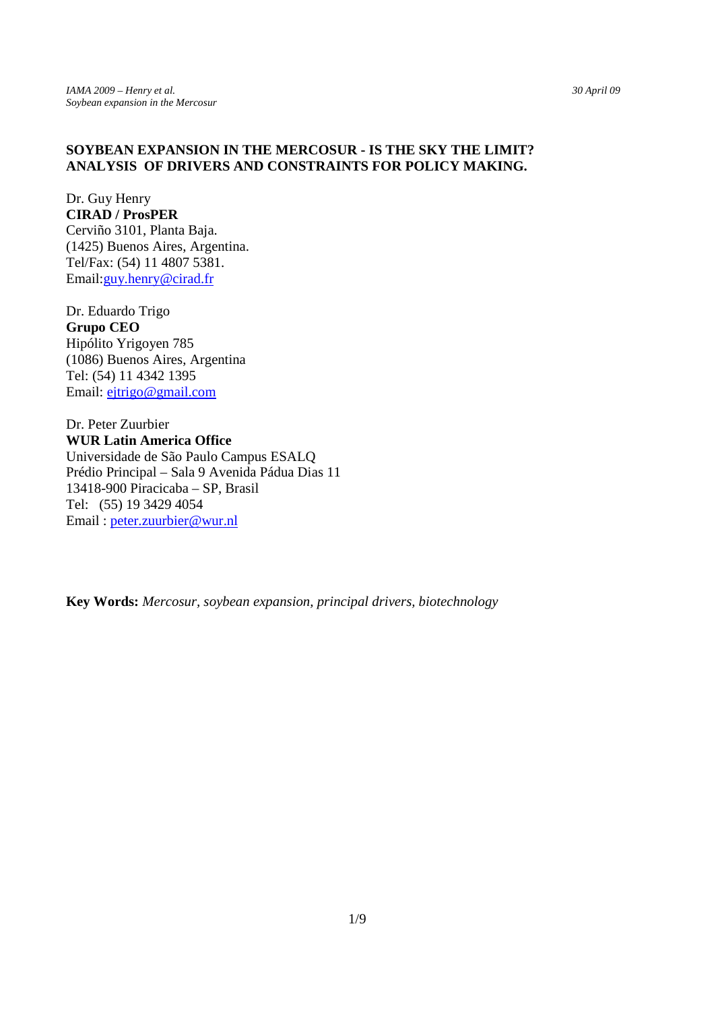# **SOYBEAN EXPANSION IN THE MERCOSUR - IS THE SKY THE LIMIT? ANALYSIS OF DRIVERS AND CONSTRAINTS FOR POLICY MAKING.**

Dr. Guy Henry **CIRAD / ProsPER**  Cerviño 3101, Planta Baja. (1425) Buenos Aires, Argentina. Tel/Fax: (54) 11 4807 5381. Email:guy.henry@cirad.fr

Dr. Eduardo Trigo **Grupo CEO**  Hipólito Yrigoyen 785 (1086) Buenos Aires, Argentina Tel: (54) 11 4342 1395 Email: ejtrigo@gmail.com

Dr. Peter Zuurbier **WUR Latin America Office**  Universidade de São Paulo Campus ESALQ Prédio Principal – Sala 9 Avenida Pádua Dias 11 13418-900 Piracicaba – SP, Brasil Tel: (55) 19 3429 4054 Email : peter.zuurbier@wur.nl

**Key Words:** *Mercosur, soybean expansion, principal drivers, biotechnology*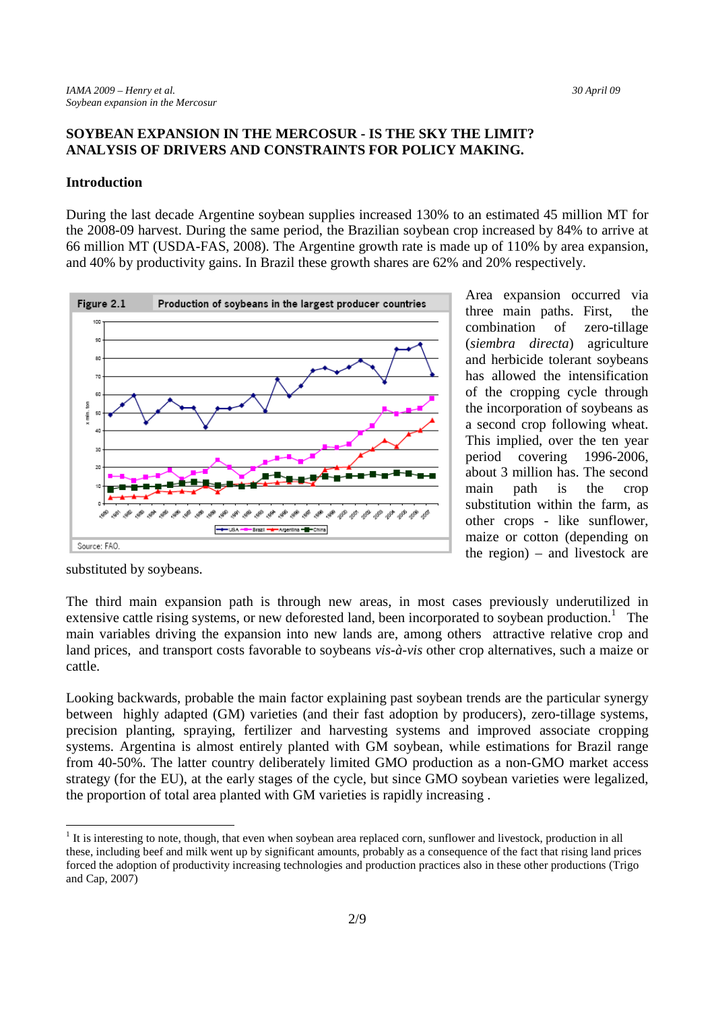# **SOYBEAN EXPANSION IN THE MERCOSUR - IS THE SKY THE LIMIT? ANALYSIS OF DRIVERS AND CONSTRAINTS FOR POLICY MAKING.**

### **Introduction**

During the last decade Argentine soybean supplies increased 130% to an estimated 45 million MT for the 2008-09 harvest. During the same period, the Brazilian soybean crop increased by 84% to arrive at 66 million MT (USDA-FAS, 2008). The Argentine growth rate is made up of 110% by area expansion, and 40% by productivity gains. In Brazil these growth shares are 62% and 20% respectively.



Area expansion occurred via three main paths. First, the combination of zero-tillage (*siembra directa*) agriculture and herbicide tolerant soybeans has allowed the intensification of the cropping cycle through the incorporation of soybeans as a second crop following wheat. This implied, over the ten year period covering 1996-2006, about 3 million has. The second main path is the crop substitution within the farm, as other crops - like sunflower, maize or cotton (depending on the region) – and livestock are

substituted by soybeans.

-

The third main expansion path is through new areas, in most cases previously underutilized in extensive cattle rising systems, or new deforested land, been incorporated to soybean production.<sup>1</sup> The main variables driving the expansion into new lands are, among others attractive relative crop and land prices, and transport costs favorable to soybeans *vis-à-vis* other crop alternatives, such a maize or cattle.

Looking backwards, probable the main factor explaining past soybean trends are the particular synergy between highly adapted (GM) varieties (and their fast adoption by producers), zero-tillage systems, precision planting, spraying, fertilizer and harvesting systems and improved associate cropping systems. Argentina is almost entirely planted with GM soybean, while estimations for Brazil range from 40-50%. The latter country deliberately limited GMO production as a non-GMO market access strategy (for the EU), at the early stages of the cycle, but since GMO soybean varieties were legalized, the proportion of total area planted with GM varieties is rapidly increasing .

 $1$  It is interesting to note, though, that even when soybean area replaced corn, sunflower and livestock, production in all these, including beef and milk went up by significant amounts, probably as a consequence of the fact that rising land prices forced the adoption of productivity increasing technologies and production practices also in these other productions (Trigo and Cap, 2007)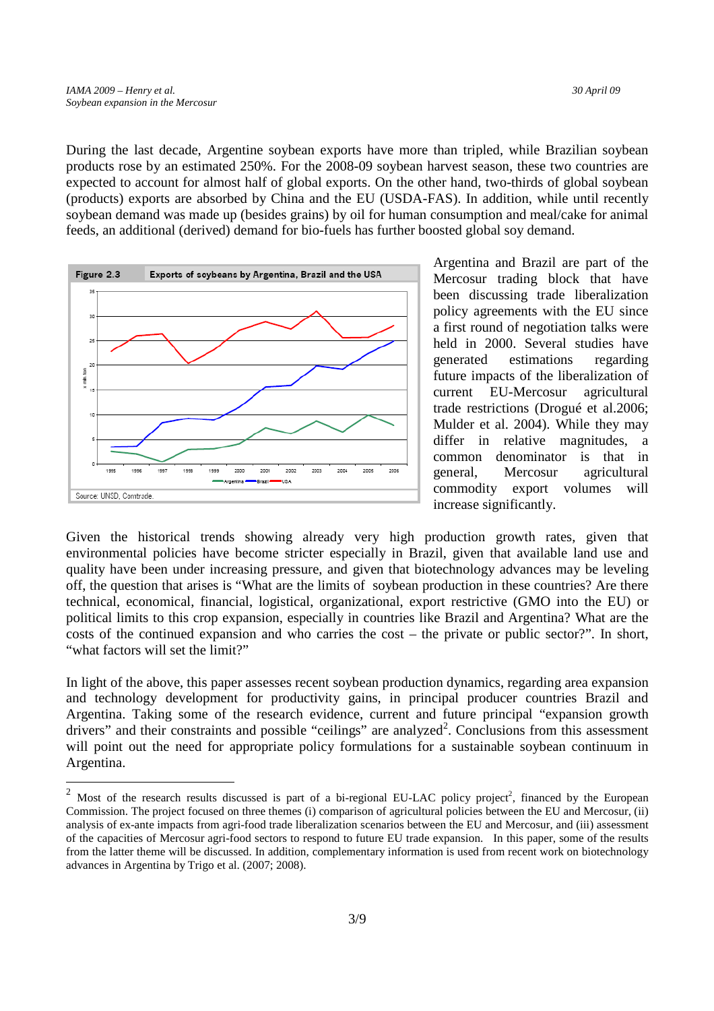-

During the last decade, Argentine soybean exports have more than tripled, while Brazilian soybean products rose by an estimated 250%. For the 2008-09 soybean harvest season, these two countries are expected to account for almost half of global exports. On the other hand, two-thirds of global soybean (products) exports are absorbed by China and the EU (USDA-FAS). In addition, while until recently soybean demand was made up (besides grains) by oil for human consumption and meal/cake for animal feeds, an additional (derived) demand for bio-fuels has further boosted global soy demand.



Argentina and Brazil are part of the Mercosur trading block that have been discussing trade liberalization policy agreements with the EU since a first round of negotiation talks were held in 2000. Several studies have generated estimations regarding future impacts of the liberalization of current EU-Mercosur agricultural trade restrictions (Drogué et al.2006; Mulder et al. 2004). While they may differ in relative magnitudes, a common denominator is that in general, Mercosur agricultural commodity export volumes will increase significantly.

Given the historical trends showing already very high production growth rates, given that environmental policies have become stricter especially in Brazil, given that available land use and quality have been under increasing pressure, and given that biotechnology advances may be leveling off, the question that arises is "What are the limits of soybean production in these countries? Are there technical, economical, financial, logistical, organizational, export restrictive (GMO into the EU) or political limits to this crop expansion, especially in countries like Brazil and Argentina? What are the costs of the continued expansion and who carries the cost – the private or public sector?". In short, "what factors will set the limit?"

In light of the above, this paper assesses recent soybean production dynamics, regarding area expansion and technology development for productivity gains, in principal producer countries Brazil and Argentina. Taking some of the research evidence, current and future principal "expansion growth drivers" and their constraints and possible "ceilings" are analyzed<sup>2</sup>. Conclusions from this assessment will point out the need for appropriate policy formulations for a sustainable soybean continuum in Argentina.

<sup>&</sup>lt;sup>2</sup> Most of the research results discussed is part of a bi-regional EU-LAC policy project<sup>2</sup>, financed by the European Commission. The project focused on three themes (i) comparison of agricultural policies between the EU and Mercosur, (ii) analysis of ex-ante impacts from agri-food trade liberalization scenarios between the EU and Mercosur, and (iii) assessment of the capacities of Mercosur agri-food sectors to respond to future EU trade expansion. In this paper, some of the results from the latter theme will be discussed. In addition, complementary information is used from recent work on biotechnology advances in Argentina by Trigo et al. (2007; 2008).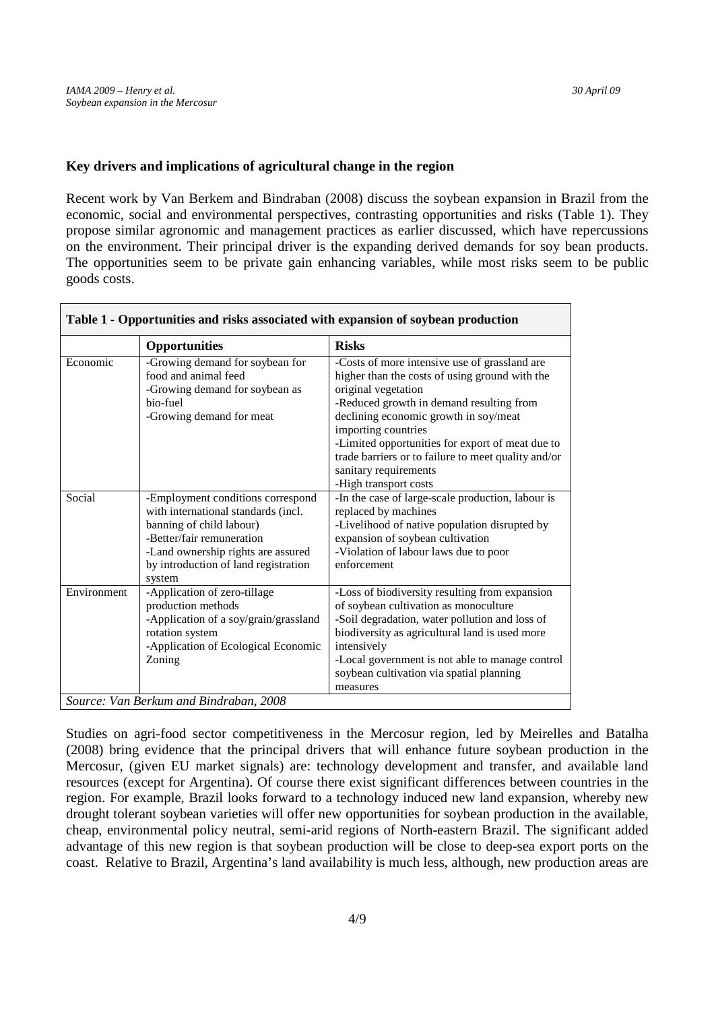# **Key drivers and implications of agricultural change in the region**

Recent work by Van Berkem and Bindraban (2008) discuss the soybean expansion in Brazil from the economic, social and environmental perspectives, contrasting opportunities and risks (Table 1). They propose similar agronomic and management practices as earlier discussed, which have repercussions on the environment. Their principal driver is the expanding derived demands for soy bean products. The opportunities seem to be private gain enhancing variables, while most risks seem to be public goods costs.

| Table 1 - Opportunities and risks associated with expansion of soybean production |                                                                                                                                                                                                                           |                                                                                                                                                                                                                                                                                                                                                                                                 |
|-----------------------------------------------------------------------------------|---------------------------------------------------------------------------------------------------------------------------------------------------------------------------------------------------------------------------|-------------------------------------------------------------------------------------------------------------------------------------------------------------------------------------------------------------------------------------------------------------------------------------------------------------------------------------------------------------------------------------------------|
|                                                                                   | <b>Opportunities</b>                                                                                                                                                                                                      | <b>Risks</b>                                                                                                                                                                                                                                                                                                                                                                                    |
| Economic                                                                          | -Growing demand for soybean for<br>food and animal feed<br>-Growing demand for soybean as<br>bio-fuel<br>-Growing demand for meat                                                                                         | -Costs of more intensive use of grassland are<br>higher than the costs of using ground with the<br>original vegetation<br>-Reduced growth in demand resulting from<br>declining economic growth in soy/meat<br>importing countries<br>-Limited opportunities for export of meat due to<br>trade barriers or to failure to meet quality and/or<br>sanitary requirements<br>-High transport costs |
| Social                                                                            | -Employment conditions correspond<br>with international standards (incl.<br>banning of child labour)<br>-Better/fair remuneration<br>-Land ownership rights are assured<br>by introduction of land registration<br>system | -In the case of large-scale production, labour is<br>replaced by machines<br>-Livelihood of native population disrupted by<br>expansion of soybean cultivation<br>-Violation of labour laws due to poor<br>enforcement                                                                                                                                                                          |
| Environment                                                                       | -Application of zero-tillage<br>production methods<br>-Application of a soy/grain/grassland<br>rotation system<br>-Application of Ecological Economic<br>Zoning                                                           | -Loss of biodiversity resulting from expansion<br>of soybean cultivation as monoculture<br>-Soil degradation, water pollution and loss of<br>biodiversity as agricultural land is used more<br>intensively<br>-Local government is not able to manage control<br>soybean cultivation via spatial planning<br>measures                                                                           |
| Source: Van Berkum and Bindraban, 2008                                            |                                                                                                                                                                                                                           |                                                                                                                                                                                                                                                                                                                                                                                                 |

Studies on agri-food sector competitiveness in the Mercosur region, led by Meirelles and Batalha (2008) bring evidence that the principal drivers that will enhance future soybean production in the Mercosur, (given EU market signals) are: technology development and transfer, and available land resources (except for Argentina). Of course there exist significant differences between countries in the region. For example, Brazil looks forward to a technology induced new land expansion, whereby new drought tolerant soybean varieties will offer new opportunities for soybean production in the available, cheap, environmental policy neutral, semi-arid regions of North-eastern Brazil. The significant added advantage of this new region is that soybean production will be close to deep-sea export ports on the coast. Relative to Brazil, Argentina's land availability is much less, although, new production areas are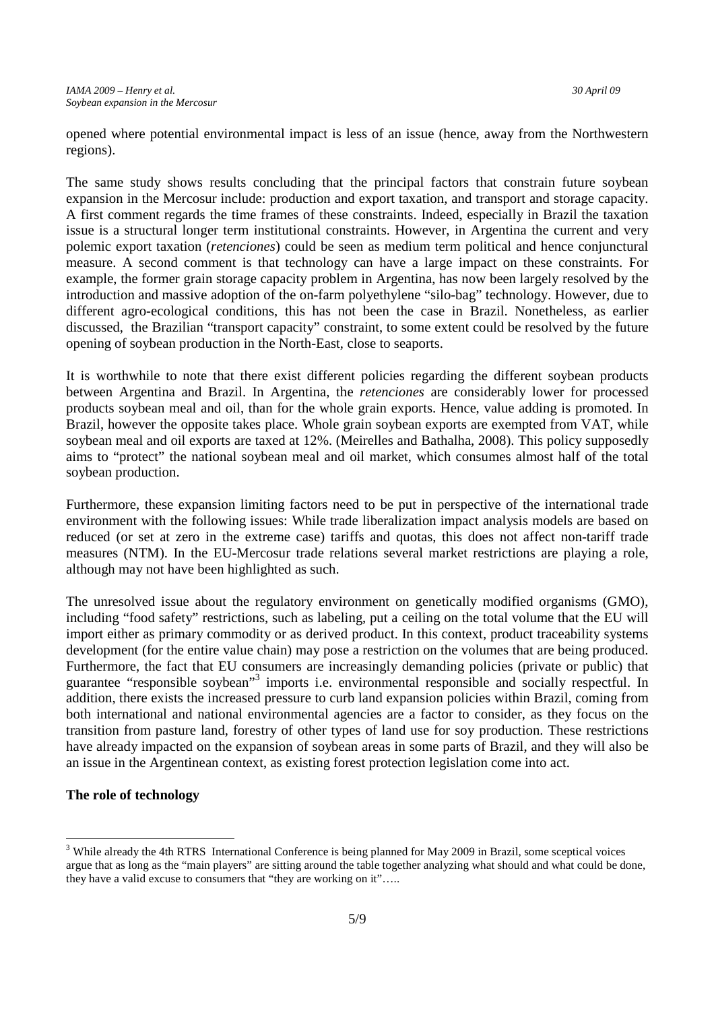opened where potential environmental impact is less of an issue (hence, away from the Northwestern regions).

The same study shows results concluding that the principal factors that constrain future soybean expansion in the Mercosur include: production and export taxation, and transport and storage capacity. A first comment regards the time frames of these constraints. Indeed, especially in Brazil the taxation issue is a structural longer term institutional constraints. However, in Argentina the current and very polemic export taxation (*retenciones*) could be seen as medium term political and hence conjunctural measure. A second comment is that technology can have a large impact on these constraints. For example, the former grain storage capacity problem in Argentina, has now been largely resolved by the introduction and massive adoption of the on-farm polyethylene "silo-bag" technology. However, due to different agro-ecological conditions, this has not been the case in Brazil. Nonetheless, as earlier discussed, the Brazilian "transport capacity" constraint, to some extent could be resolved by the future opening of soybean production in the North-East, close to seaports.

It is worthwhile to note that there exist different policies regarding the different soybean products between Argentina and Brazil. In Argentina, the *retenciones* are considerably lower for processed products soybean meal and oil, than for the whole grain exports. Hence, value adding is promoted. In Brazil, however the opposite takes place. Whole grain soybean exports are exempted from VAT, while soybean meal and oil exports are taxed at 12%. (Meirelles and Bathalha, 2008). This policy supposedly aims to "protect" the national soybean meal and oil market, which consumes almost half of the total soybean production.

Furthermore, these expansion limiting factors need to be put in perspective of the international trade environment with the following issues: While trade liberalization impact analysis models are based on reduced (or set at zero in the extreme case) tariffs and quotas, this does not affect non-tariff trade measures (NTM). In the EU-Mercosur trade relations several market restrictions are playing a role, although may not have been highlighted as such.

The unresolved issue about the regulatory environment on genetically modified organisms (GMO), including "food safety" restrictions, such as labeling, put a ceiling on the total volume that the EU will import either as primary commodity or as derived product. In this context, product traceability systems development (for the entire value chain) may pose a restriction on the volumes that are being produced. Furthermore, the fact that EU consumers are increasingly demanding policies (private or public) that guarantee "responsible soybean"<sup>3</sup> imports i.e. environmental responsible and socially respectful. In addition, there exists the increased pressure to curb land expansion policies within Brazil, coming from both international and national environmental agencies are a factor to consider, as they focus on the transition from pasture land, forestry of other types of land use for soy production. These restrictions have already impacted on the expansion of soybean areas in some parts of Brazil, and they will also be an issue in the Argentinean context, as existing forest protection legislation come into act.

# **The role of technology**

-

<sup>&</sup>lt;sup>3</sup> While already the 4th RTRS International Conference is being planned for May 2009 in Brazil, some sceptical voices argue that as long as the "main players" are sitting around the table together analyzing what should and what could be done, they have a valid excuse to consumers that "they are working on it"…..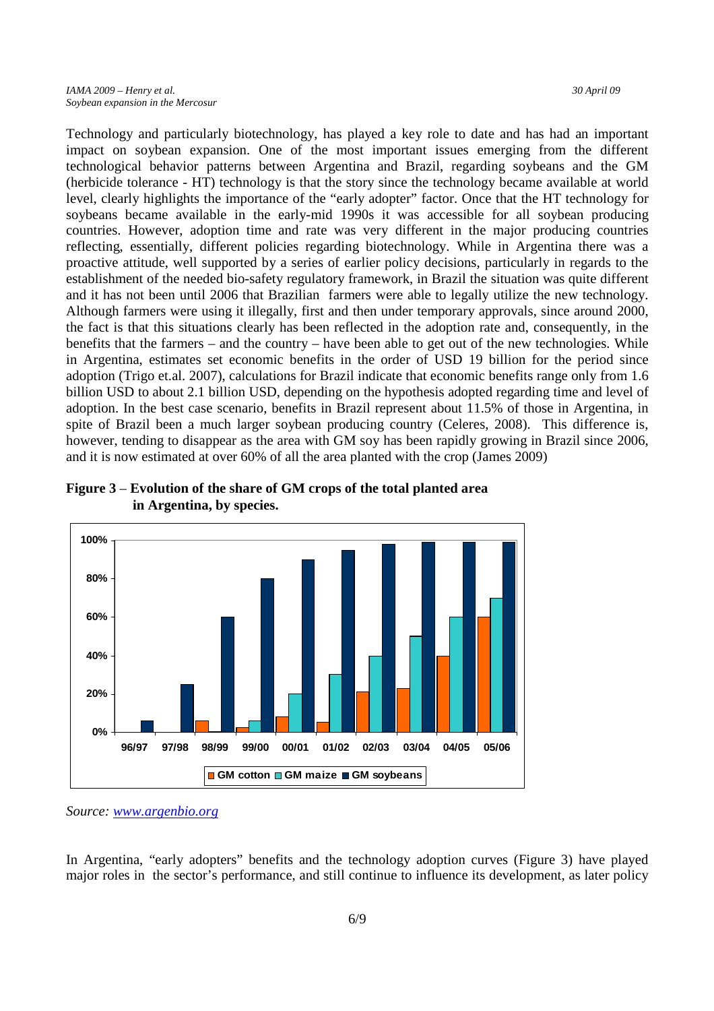Technology and particularly biotechnology, has played a key role to date and has had an important impact on soybean expansion. One of the most important issues emerging from the different technological behavior patterns between Argentina and Brazil, regarding soybeans and the GM (herbicide tolerance - HT) technology is that the story since the technology became available at world level, clearly highlights the importance of the "early adopter" factor. Once that the HT technology for soybeans became available in the early-mid 1990s it was accessible for all soybean producing countries. However, adoption time and rate was very different in the major producing countries reflecting, essentially, different policies regarding biotechnology. While in Argentina there was a proactive attitude, well supported by a series of earlier policy decisions, particularly in regards to the establishment of the needed bio-safety regulatory framework, in Brazil the situation was quite different and it has not been until 2006 that Brazilian farmers were able to legally utilize the new technology. Although farmers were using it illegally, first and then under temporary approvals, since around 2000, the fact is that this situations clearly has been reflected in the adoption rate and, consequently, in the benefits that the farmers – and the country – have been able to get out of the new technologies. While in Argentina, estimates set economic benefits in the order of USD 19 billion for the period since adoption (Trigo et.al. 2007), calculations for Brazil indicate that economic benefits range only from 1.6 billion USD to about 2.1 billion USD, depending on the hypothesis adopted regarding time and level of adoption. In the best case scenario, benefits in Brazil represent about 11.5% of those in Argentina, in spite of Brazil been a much larger soybean producing country (Celeres, 2008). This difference is, however, tending to disappear as the area with GM soy has been rapidly growing in Brazil since 2006, and it is now estimated at over 60% of all the area planted with the crop (James 2009)



**Figure 3** – **Evolution of the share of GM crops of the total planted area in Argentina, by species.**

In Argentina, "early adopters" benefits and the technology adoption curves (Figure 3) have played major roles in the sector's performance, and still continue to influence its development, as later policy

*Source: www.argenbio.org*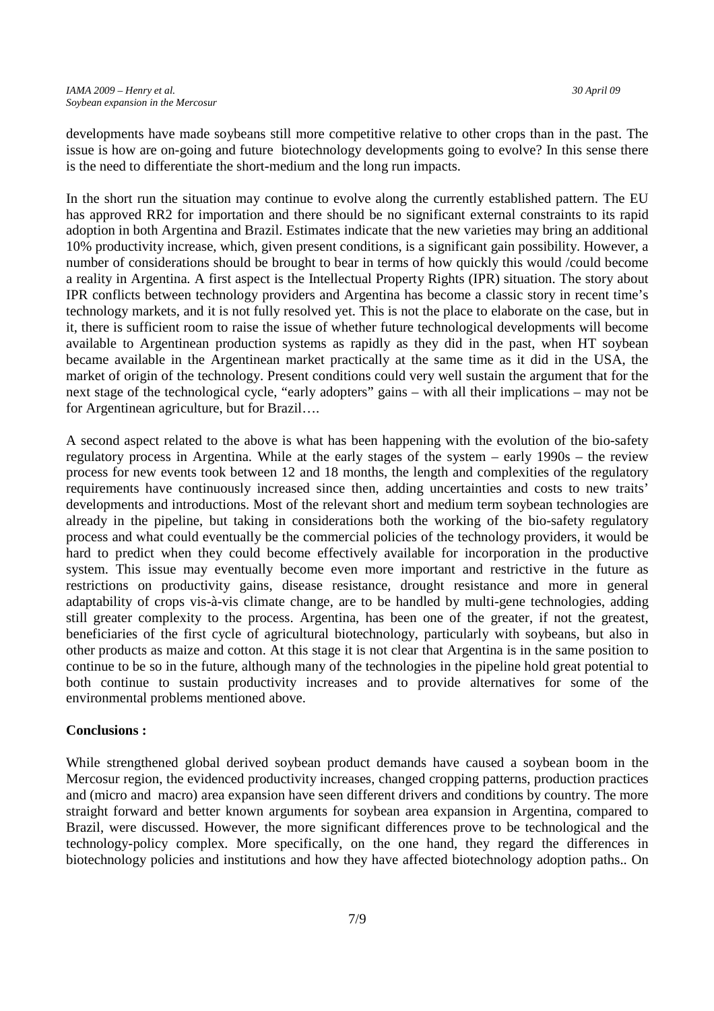developments have made soybeans still more competitive relative to other crops than in the past. The issue is how are on-going and future biotechnology developments going to evolve? In this sense there is the need to differentiate the short-medium and the long run impacts.

In the short run the situation may continue to evolve along the currently established pattern. The EU has approved RR2 for importation and there should be no significant external constraints to its rapid adoption in both Argentina and Brazil. Estimates indicate that the new varieties may bring an additional 10% productivity increase, which, given present conditions, is a significant gain possibility. However, a number of considerations should be brought to bear in terms of how quickly this would /could become a reality in Argentina. A first aspect is the Intellectual Property Rights (IPR) situation. The story about IPR conflicts between technology providers and Argentina has become a classic story in recent time's technology markets, and it is not fully resolved yet. This is not the place to elaborate on the case, but in it, there is sufficient room to raise the issue of whether future technological developments will become available to Argentinean production systems as rapidly as they did in the past, when HT soybean became available in the Argentinean market practically at the same time as it did in the USA, the market of origin of the technology. Present conditions could very well sustain the argument that for the next stage of the technological cycle, "early adopters" gains – with all their implications – may not be for Argentinean agriculture, but for Brazil….

A second aspect related to the above is what has been happening with the evolution of the bio-safety regulatory process in Argentina. While at the early stages of the system – early 1990s – the review process for new events took between 12 and 18 months, the length and complexities of the regulatory requirements have continuously increased since then, adding uncertainties and costs to new traits' developments and introductions. Most of the relevant short and medium term soybean technologies are already in the pipeline, but taking in considerations both the working of the bio-safety regulatory process and what could eventually be the commercial policies of the technology providers, it would be hard to predict when they could become effectively available for incorporation in the productive system. This issue may eventually become even more important and restrictive in the future as restrictions on productivity gains, disease resistance, drought resistance and more in general adaptability of crops vis-à-vis climate change, are to be handled by multi-gene technologies, adding still greater complexity to the process. Argentina, has been one of the greater, if not the greatest, beneficiaries of the first cycle of agricultural biotechnology, particularly with soybeans, but also in other products as maize and cotton. At this stage it is not clear that Argentina is in the same position to continue to be so in the future, although many of the technologies in the pipeline hold great potential to both continue to sustain productivity increases and to provide alternatives for some of the environmental problems mentioned above.

## **Conclusions :**

While strengthened global derived soybean product demands have caused a soybean boom in the Mercosur region, the evidenced productivity increases, changed cropping patterns, production practices and (micro and macro) area expansion have seen different drivers and conditions by country. The more straight forward and better known arguments for soybean area expansion in Argentina, compared to Brazil, were discussed. However, the more significant differences prove to be technological and the technology-policy complex. More specifically, on the one hand, they regard the differences in biotechnology policies and institutions and how they have affected biotechnology adoption paths.. On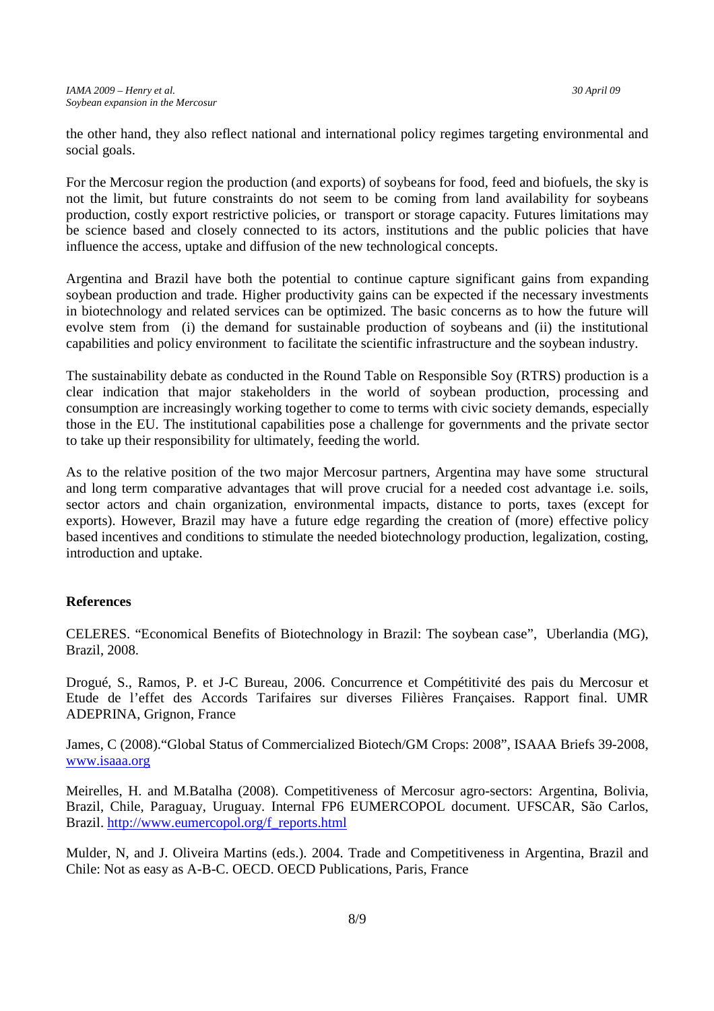the other hand, they also reflect national and international policy regimes targeting environmental and social goals.

For the Mercosur region the production (and exports) of soybeans for food, feed and biofuels, the sky is not the limit, but future constraints do not seem to be coming from land availability for soybeans production, costly export restrictive policies, or transport or storage capacity. Futures limitations may be science based and closely connected to its actors, institutions and the public policies that have influence the access, uptake and diffusion of the new technological concepts.

Argentina and Brazil have both the potential to continue capture significant gains from expanding soybean production and trade. Higher productivity gains can be expected if the necessary investments in biotechnology and related services can be optimized. The basic concerns as to how the future will evolve stem from (i) the demand for sustainable production of soybeans and (ii) the institutional capabilities and policy environment to facilitate the scientific infrastructure and the soybean industry.

The sustainability debate as conducted in the Round Table on Responsible Soy (RTRS) production is a clear indication that major stakeholders in the world of soybean production, processing and consumption are increasingly working together to come to terms with civic society demands, especially those in the EU. The institutional capabilities pose a challenge for governments and the private sector to take up their responsibility for ultimately, feeding the world.

As to the relative position of the two major Mercosur partners, Argentina may have some structural and long term comparative advantages that will prove crucial for a needed cost advantage i.e. soils, sector actors and chain organization, environmental impacts, distance to ports, taxes (except for exports). However, Brazil may have a future edge regarding the creation of (more) effective policy based incentives and conditions to stimulate the needed biotechnology production, legalization, costing, introduction and uptake.

## **References**

CELERES. "Economical Benefits of Biotechnology in Brazil: The soybean case", Uberlandia (MG), Brazil, 2008.

Drogué, S., Ramos, P. et J-C Bureau, 2006. Concurrence et Compétitivité des pais du Mercosur et Etude de l'effet des Accords Tarifaires sur diverses Filières Françaises. Rapport final. UMR ADEPRINA, Grignon, France

James, C (2008)."Global Status of Commercialized Biotech/GM Crops: 2008", ISAAA Briefs 39-2008, www.isaaa.org

Meirelles, H. and M.Batalha (2008). Competitiveness of Mercosur agro-sectors: Argentina, Bolivia, Brazil, Chile, Paraguay, Uruguay. Internal FP6 EUMERCOPOL document. UFSCAR, São Carlos, Brazil. http://www.eumercopol.org/f\_reports.html

Mulder, N, and J. Oliveira Martins (eds.). 2004. Trade and Competitiveness in Argentina, Brazil and Chile: Not as easy as A-B-C. OECD. OECD Publications, Paris, France